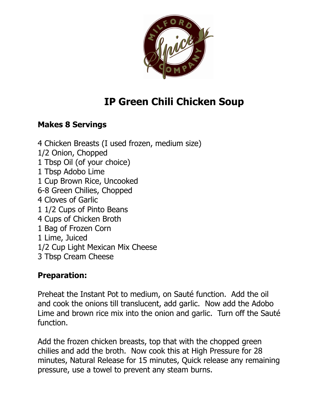

## **IP Green Chili Chicken Soup**

## **Makes 8 Servings**

4 Chicken Breasts (I used frozen, medium size) 1/2 Onion, Chopped 1 Tbsp Oil (of your choice) 1 Tbsp Adobo Lime 1 Cup Brown Rice, Uncooked 6-8 Green Chilies, Chopped 4 Cloves of Garlic 1 1/2 Cups of Pinto Beans 4 Cups of Chicken Broth 1 Bag of Frozen Corn 1 Lime, Juiced 1/2 Cup Light Mexican Mix Cheese 3 Tbsp Cream Cheese

## **Preparation:**

Preheat the Instant Pot to medium, on Sauté function. Add the oil and cook the onions till translucent, add garlic. Now add the Adobo Lime and brown rice mix into the onion and garlic. Turn off the Sauté function.

Add the frozen chicken breasts, top that with the chopped green chilies and add the broth. Now cook this at High Pressure for 28 minutes, Natural Release for 15 minutes, Quick release any remaining pressure, use a towel to prevent any steam burns.